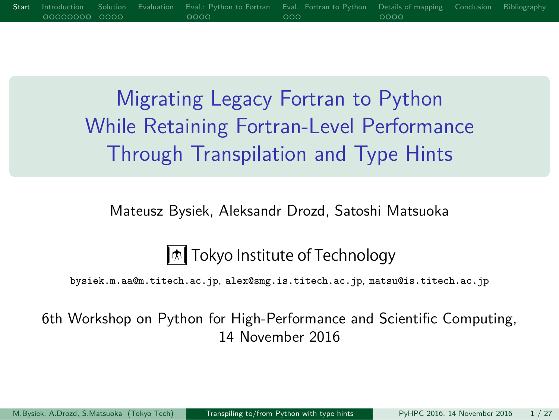Migrating Legacy Fortran to Python While Retaining Fortran-Level Performance Through Transpilation and Type Hints

Start Introduction Solution Evaluation Eval.: Python to Fortran Eval.: Fortran to Python Details of mapping Conclusion Bibliography

Mateusz Bysiek, Aleksandr Drozd, Satoshi Matsuoka

Tokyo Institute of Technology

bysiek.m.aa@m.titech.ac.jp, alex@smg.is.titech.ac.jp, matsu@is.titech.ac.jp

6th Workshop on Python for High-Performance and Scientific Computing, 14 November 2016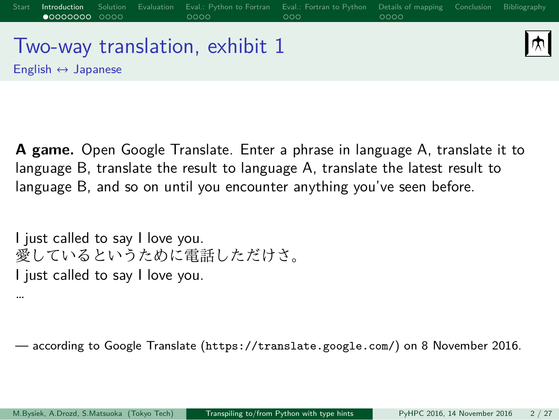#### Start Introduction Solution Evaluation Eval.: Python to Fortran Eval.: Fortran to Python Details of mapping Conclusion Bibliography 困 Two-way translation, exhibit 1 English ↔ Japanese

**A game.** Open Google Translate. Enter a phrase in language A, translate it to language B, translate the result to language A, translate the latest result to language B, and so on until you encounter anything you've seen before.

I just called to say I love you. 愛しているというために電話しただけさ。 I just called to say I love you. …

— according to Google Translate (https://translate.google.com/) on 8 November 2016.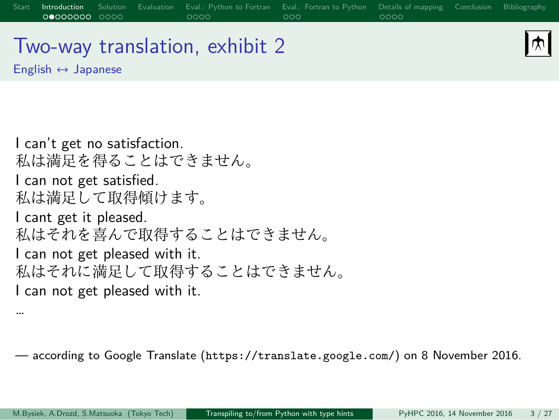# Two-way translation, exhibit 2

English ↔ Japanese

…

网

I can't get no satisfaction. 私は満足を得ることはできません。 I can not get satisfied. 私は満足して取得傾けます。 I cant get it pleased. 私はそれを喜んで取得することはできません。 I can not get pleased with it. 私はそれに満足して取得することはできません。 I can not get pleased with it.

— according to Google Translate (https://translate.google.com/) on 8 November 2016.

Start Introduction Solution Evaluation Eval.: Python to Fortran Eval.: Fortran to Python Details of mapping Conclusion Bibliography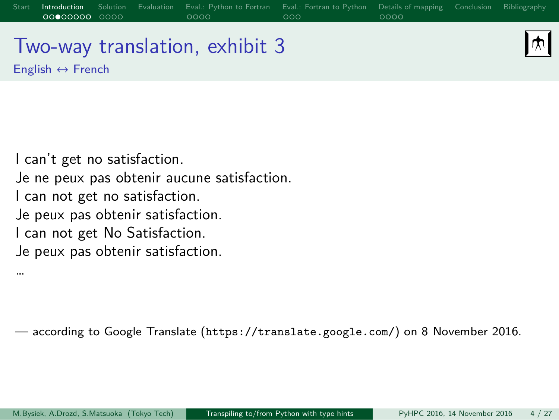# Two-way translation, exhibit 3

English  $\leftrightarrow$  French

网

I can't get no satisfaction. Je ne peux pas obtenir aucune satisfaction. I can not get no satisfaction. Je peux pas obtenir satisfaction. I can not get No Satisfaction. Je peux pas obtenir satisfaction. …

— according to Google Translate (https://translate.google.com/) on 8 November 2016.

Start Introduction Solution Evaluation Eval.: Python to Fortran Eval.: Fortran to Python Details of mapping Conclusion Bibliography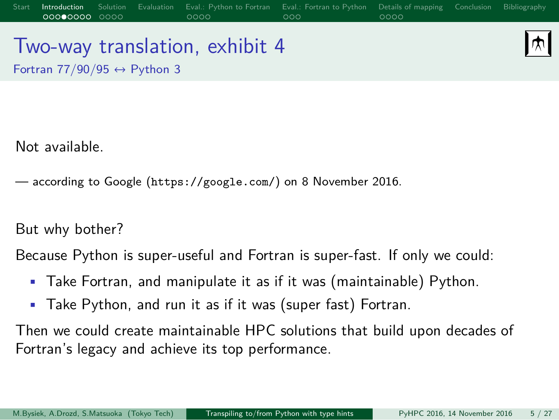# Two-way translation, exhibit 4

困

Fortran  $77/90/95 \leftrightarrow$  Python 3

Not available.

— according to Google (https://google.com/) on 8 November 2016.

#### But why bother?

Because Python is super-useful and Fortran is super-fast. If only we could:

Start Introduction Solution Evaluation Eval.: Python to Fortran Eval.: Fortran to Python Details of mapping Conclusion Bibliography

- Take Fortran, and manipulate it as if it was (maintainable) Python.
- Take Python, and run it as if it was (super fast) Fortran.

Then we could create maintainable HPC solutions that build upon decades of Fortran's legacy and achieve its top performance.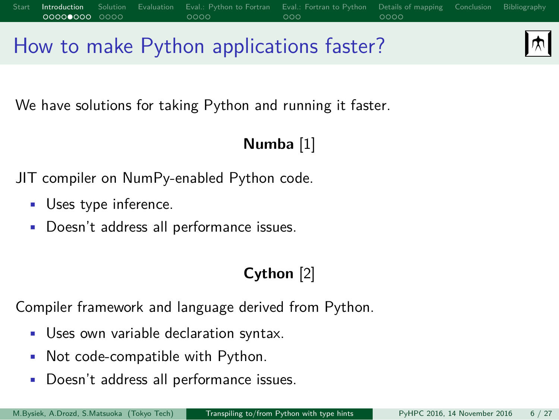# How to make Python applications faster?

困

We have solutions for taking Python and running it faster.

#### **Numba** [1]

Start Introduction Solution Evaluation Eval.: Python to Fortran Eval.: Fortran to Python Details of mapping Conclusion Bibliography

JIT compiler on NumPy-enabled Python code.

- Uses type inference.
- Doesn't address all performance issues.

#### **Cython** [2]

Compiler framework and language derived from Python.

- Uses own variable declaration syntax.
- Not code-compatible with Python.
- Doesn't address all performance issues.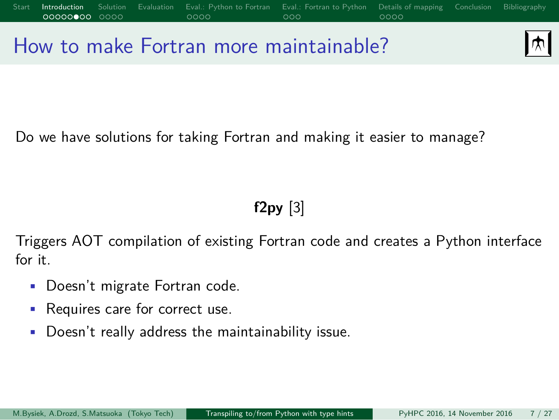## 困 How to make Fortran more maintainable?

Start Introduction Solution Evaluation Eval.: Python to Fortran Eval.: Fortran to Python Details of mapping Conclusion Bibliography

Do we have solutions for taking Fortran and making it easier to manage?

### **f2py** [3]

Triggers AOT compilation of existing Fortran code and creates a Python interface for it.

- Doesn't migrate Fortran code.
- Requires care for correct use.
- Doesn't really address the maintainability issue.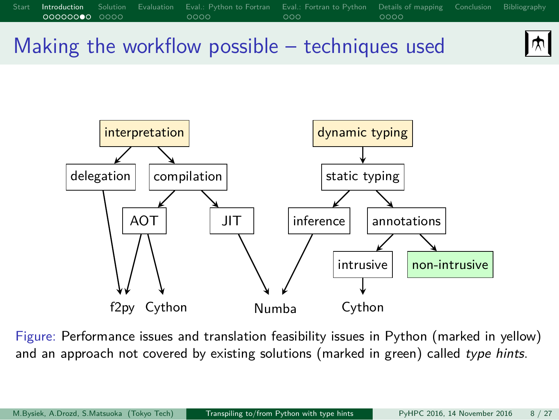



Figure: Performance issues and translation feasibility issues in Python (marked in yellow) and an approach not covered by existing solutions (marked in green) called *type hints*.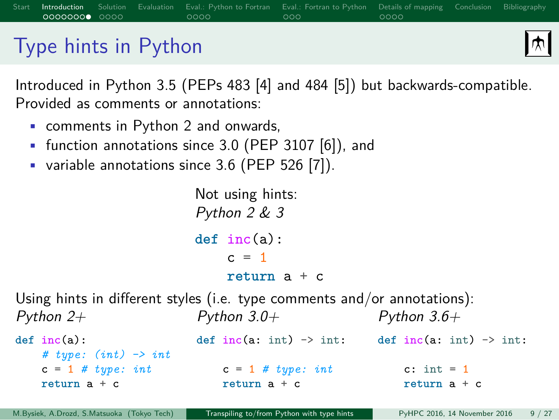### Type hints in Python

困

Introduced in Python 3.5 (PEPs 483 [4] and 484 [5]) but backwards-compatible. Provided as comments or annotations:

Start Introduction Solution Evaluation Eval.: Python to Fortran Eval.: Fortran to Python Details of mapping Conclusion Bibliography

- comments in Python 2 and onwards,
- function annotations since 3.0 (PEP 3107 [6]), and
- variable annotations since 3.6 (PEP 526 [7]).

Not using hints: *Python 2 & 3* **def** inc(a):  $c = 1$ **return** a + c

Using hints in different styles (i.e. type comments and/or annotations): *Python 2+ Python 3.0+ Python 3.6+*

**def** inc(a): *# type: (int) -> int*  $c = 1$  #  $type: int$ **return** a + c **def** inc(a: int) -> int: c = 1 *# type: int* **return** a + c def  $inc(a: int)$  ->  $int:$ c:  $\text{int} = 1$ **return** a + c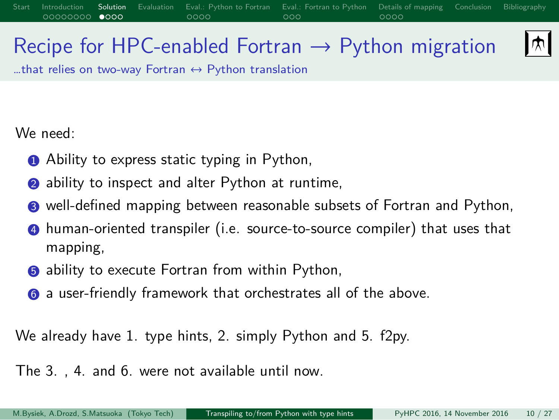### Recipe for HPC-enabled Fortran  $\rightarrow$  Python migration

…that relies on two-way Fortran  $↔$  Python translation

We need:

- **1** Ability to express static typing in Python,
- <sup>2</sup> ability to inspect and alter Python at runtime,
- <sup>3</sup> well-defined mapping between reasonable subsets of Fortran and Python,

Start Introduction Solution Evaluation Eval.: Python-to-Fortran Eval.: Fortran-to-Python Details of mapping Conclusion Bibliography

- <sup>4</sup> human-oriented transpiler (i.e. source-to-source compiler) that uses that mapping,
- **6** ability to execute Fortran from within Python,
- <sup>6</sup> a user-friendly framework that orchestrates all of the above.

We already have 1. type hints, 2. simply Python and 5. f2py.

The 3. , 4. and 6. were not available until now.

|स्र $\blacksquare$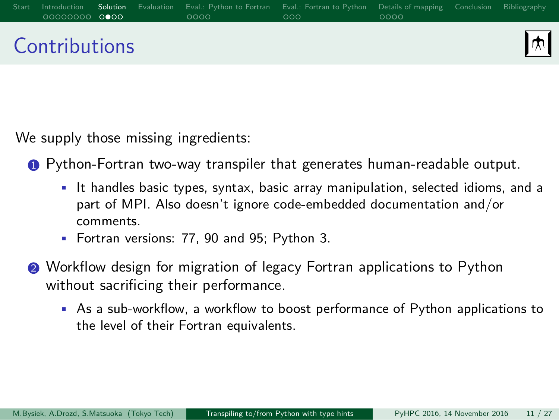### Start Introduction Solution Evaluation Eval.: Python-to-Fortran Eval.: Fortran-to-Python Details of mapping Conclusion Bibliography  $|\pi|$ **Contributions**

We supply those missing ingredients:

**1** Python-Fortran two-way transpiler that generates human-readable output.

- It handles basic types, syntax, basic array manipulation, selected idioms, and a part of MPI. Also doesn't ignore code-embedded documentation and/or comments.
- Fortran versions: 77, 90 and 95; Python 3.
- <sup>2</sup> Workflow design for migration of legacy Fortran applications to Python without sacrificing their performance.
	- As a sub-workflow, a workflow to boost performance of Python applications to the level of their Fortran equivalents.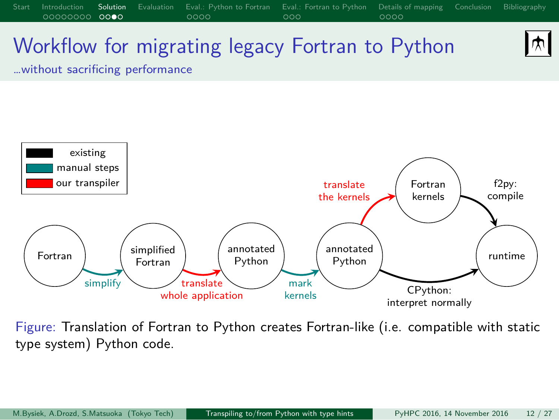

Start Introduction Solution Evaluation Eval.: Python-to-Fortran Eval.: Fortran-to-Python Details of mapping Conclusion Bibliography

Figure: Translation of Fortran to Python creates Fortran-like (i.e. compatible with static type system) Python code.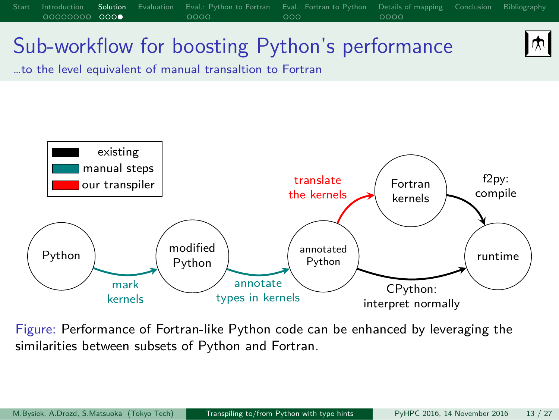

Start Introduction Solution Evaluation Eval.: Python-to-Fortran Eval.: Fortran-to-Python Details of mapping Conclusion Bibliography

Figure: Performance of Fortran-like Python code can be enhanced by leveraging the similarities between subsets of Python and Fortran.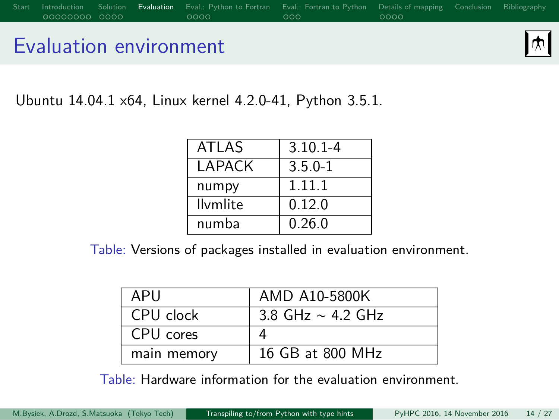### Evaluation environment

 $\boxed{\frac{}{\text{ }}{\text{ }}\text{ }}\text{ }}$ 

Ubuntu 14.04.1 x64, Linux kernel 4.2.0-41, Python 3.5.1.

| ATI AS          | $3.10.1 - 4$ |
|-----------------|--------------|
| I APACK         | $3.5.0 - 1$  |
| numpy           | 1.11.1       |
| <b>Ilvmlite</b> | 0.12.0       |
| numba           | 0.26.0       |

Start Introduction Solution Evaluation Eval.: Python-to-Fortran Eval.: Fortran-to-Python Details of mapping Conclusion Bibliography

Table: Versions of packages installed in evaluation environment.

| APU         | AMD A10-5800K          |
|-------------|------------------------|
| CPU clock   | 3.8 GHz $\sim$ 4.2 GHz |
| CPU cores   |                        |
| main memory | 16 GB at 800 MHz       |

Table: Hardware information for the evaluation environment.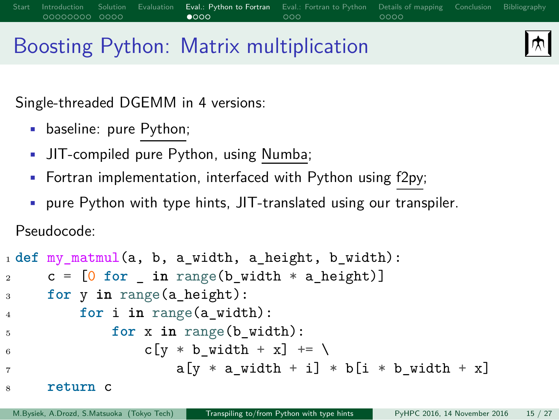# Boosting Python: Matrix multiplication

Eval.: Python to Fortrane<br>0000

 $|\pi|$ 

Single-threaded DGEMM in 4 versions:

- baseline: pure Python;
- JIT-compiled pure Python, using Numba;
- Fortran implementation, interfaced with Python using f2py;
- pure Python with type hints, JIT-translated using our transpiler.

Pseudocode:

```
1 def my_matmul(a, b, a_width, a_height, b_width):
2 c = [0 for _ in range(b_width * a_height)]
3 for y in range(a_height):
4 for i in range(a_width):
5 for x in range(b_width):
6 c[y \ast b_width + x] += \
                  a[y * a_width + i] * b[i * b_width + x]8 return c
```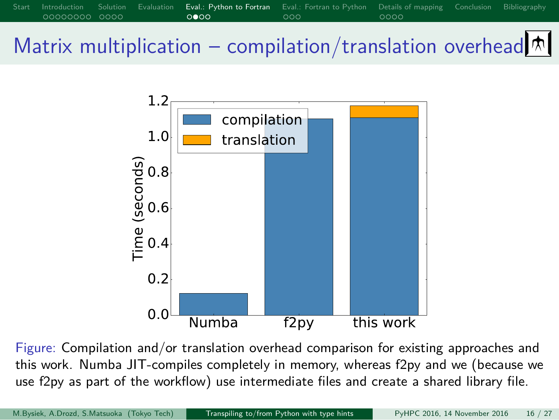# Start Introduction Solution Evaluation Eval.: Python to Fortran Eval.: Fortran to Python Details of mapping Conclusion Bibliography Matrix multiplication – compilation/translation overhead $\boxed{\uparrow}$



Figure: Compilation and/or translation overhead comparison for existing approaches and this work. Numba JIT-compiles completely in memory, whereas f2py and we (because we use f2py as part of the workflow) use intermediate files and create a shared library file.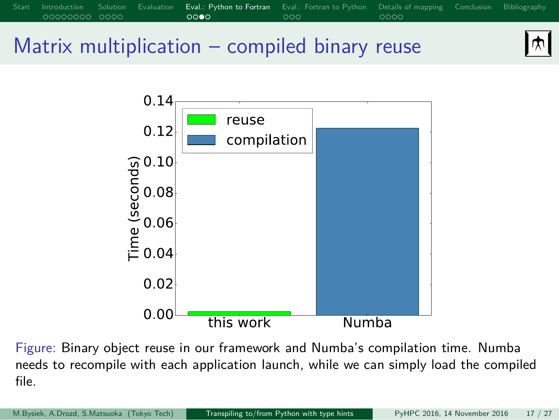

Figure: Binary object reuse in our framework and Numba's compilation time. Numba needs to recompile with each application launch, while we can simply load the compiled file.

**Numba** 

M.Bysiek, A.Drozd, S.Matsuoka (Tokyo Tech) Transpiling to/from Python with type hints PyHPC 2016, 14 November 2016 17 / 27

this work

 $0.02$  $0.00<sup>1</sup>$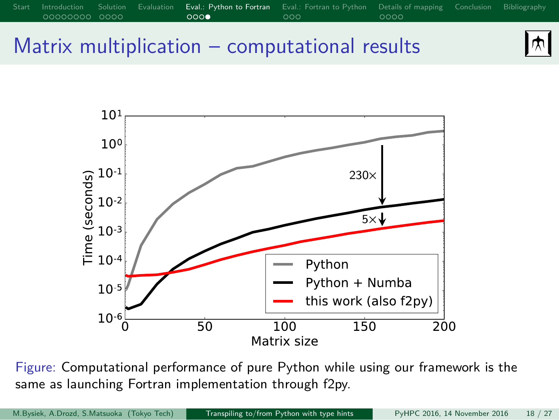# Eval.: Python to Fortran Eval.: Python to Fortran Eval.: Python to Portra Matrix multiplication – computational results





Figure: Computational performance of pure Python while using our framework is the same as launching Fortran implementation through f2py.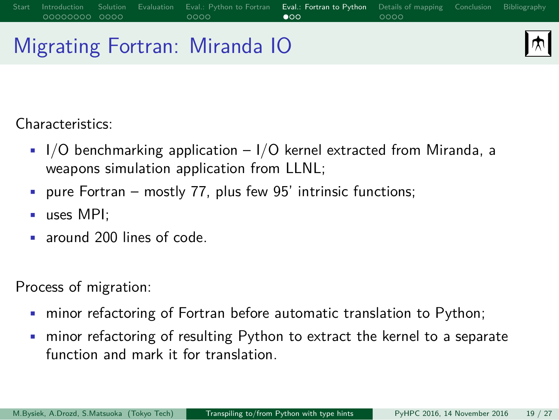# Migrating Fortran: Miranda IO

困

Characteristics:

 $\bullet$  I/O benchmarking application - I/O kernel extracted from Miranda, a weapons simulation application from LLNL;

Start Introduction Solution Evaluation Eval.: Python to Fortran Eval.: Fortran to Python Details of mapping Conclusion Bibliography

- pure Fortran mostly 77, plus few 95' intrinsic functions;
- uses MPI;
- around 200 lines of code.

Process of migration:

- minor refactoring of Fortran before automatic translation to Python;
- minor refactoring of resulting Python to extract the kernel to a separate function and mark it for translation.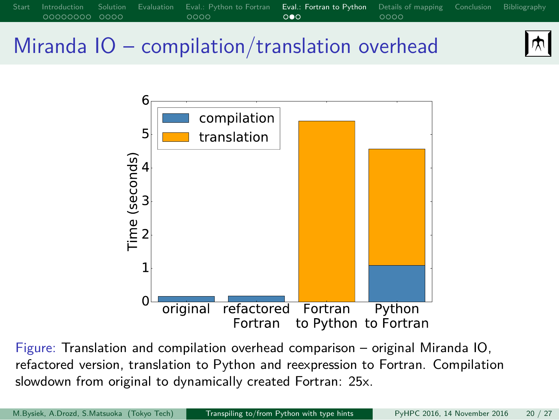

Start Introduction Solution Evaluation Eval.: Python to Fortran Eval.: Fortran to Python Details of mapping Conclusion Bibliography

Figure: Translation and compilation overhead comparison – original Miranda IO, refactored version, translation to Python and reexpression to Fortran. Compilation slowdown from original to dynamically created Fortran: 25x.

困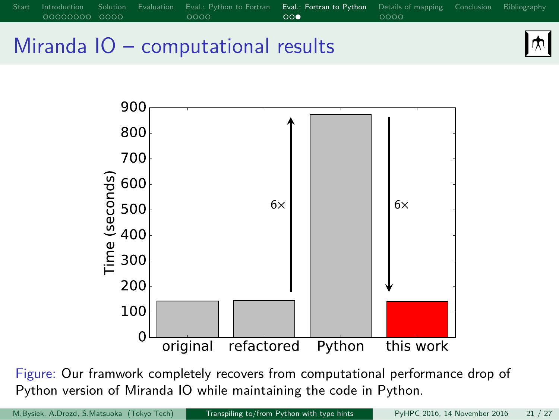## Start Introduction Solution Evaluation Eval.: Python to Fortran Eval.: Fortran to Python Details of mapping Conclusion Bibliography 困 Miranda IO – computational results



Figure: Our framwork completely recovers from computational performance drop of Python version of Miranda IO while maintaining the code in Python.

M.Bysiek, A.Drozd, S.Matsuoka (Tokyo Tech) Transpiling to/from Python with type hints PyHPC 2016, 14 November 2016 21 / 27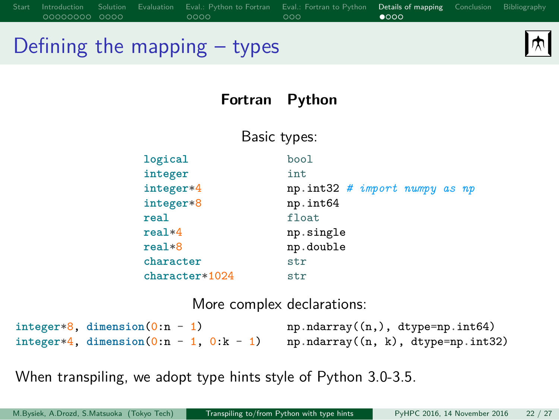### Start Introduction Solution Evaluation Eval.: Python-to-Fortran Eval.: Fortran-to-Python Details of mapping Conclusion Bibliography 困 Defining the mapping – types

### **Fortran Python**

Basic types: **logical integer integer**\*4 **integer**\*8 **real real**\*4 **real**\*8 **character character**\*1024 bool int np.int32 *# import numpy as np* np.int64 float np.single np.double str str

More complex declarations:

| integer*8, dimension $(0:n - 1)$          |  | $np.ndarray((n,)$ , dtype=np.int64) |  |
|-------------------------------------------|--|-------------------------------------|--|
| integer*4, dimension $(0:n - 1, 0:k - 1)$ |  | np.ndarray((n, k), dtype=np.int32)  |  |

When transpiling, we adopt type hints style of Python 3.0-3.5.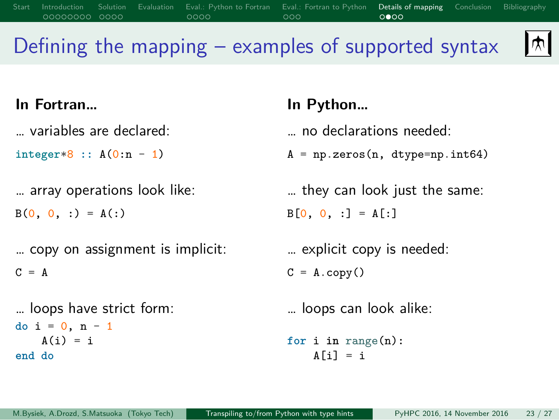# Defining the mapping – examples of supported syntax

Start Introduction Solution Evaluation Eval.: Python to Fortran Eval.: Fortran to Python Details of mapping Conclusion Bibliography

 $\boxed{\mathcal{M}}$ 

| In Fortran                                      | In Python                                       |
|-------------------------------------------------|-------------------------------------------------|
| variables are declared:                         | no declarations needed:                         |
| $integer*8 :: A(0:n - 1)$                       | $A = np \cdot zeros(n, dtype = np \cdot int64)$ |
| array operations look like:                     | they can look just the same:                    |
| $B(0, 0, :)= A(:)$                              | $B[0, 0, :] = A[:]$                             |
| copy on assignment is implicit:                 | explicit copy is needed:                        |
| $C = A$                                         | $C = A \cdot copy()$                            |
| loops have strict form:<br>do $i = 0$ , $n - 1$ | loops can look alike:                           |
|                                                 |                                                 |
| $A(i) = i$<br>end do                            | for i in range $(n)$ :<br>$A[i] = i$            |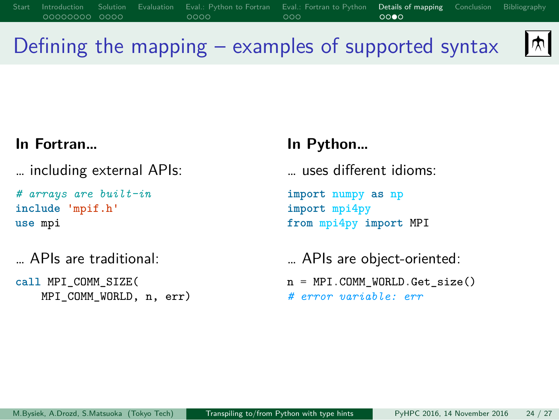# Defining the mapping – examples of supported syntax

Solution Evaluation Eval.: Python to Fortran Eval.: Fortran to Python Details of mapp<br>1900 0000 0000 0000 0000

#### **In Fortran…**

… including external APIs:

*# arrays are built-in* **include** 'mpif.h' **use** mpi

… APIs are traditional:

**call** MPI\_COMM\_SIZE( MPI\_COMM\_WORLD, n, err)

### **In Python…**

… uses different idioms:

**import numpy as np import mpi4py from mpi4py import** MPI

… APIs are object-oriented:

n = MPI.COMM\_WORLD.Get\_size()

*# error variable: err*

 $\mathbf{M}$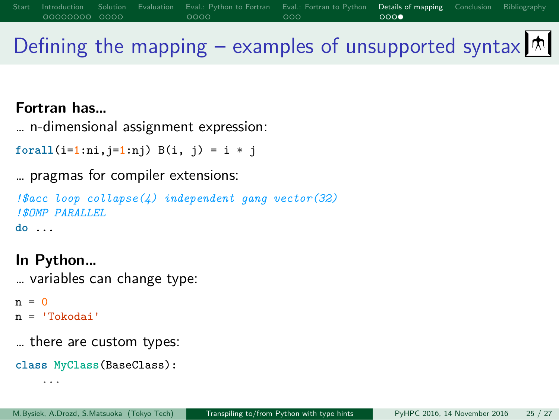# Solution Evaluation Eval.: Python to Fortran Eval.: Fortran to Python Details of mapping<br>COOO 0000 COOC

Defining the mapping – examples of unsupported syntax  $\boxed{\uparrow}$ 

**Fortran has…**

… n-dimensional assignment expression:

**forall**(i=1:ni,j=1:nj) B(i, j) = i \* j

… pragmas for compiler extensions:

*!\$acc loop collapse(4) independent gang vector(32) !\$OMP PARALLEL* **do** ...

**In Python…** … variables can change type:

 $n = 0$ n = 'Tokodai'

… there are custom types:

**class MyClass**(BaseClass): ...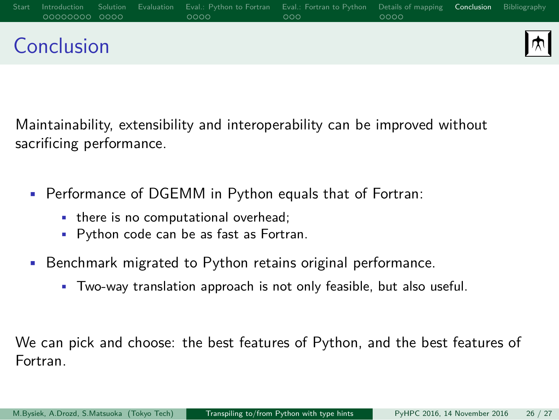### Start Introduction Solution Evaluation Eval.: Python-to-Fortran Eval.: Fortran-to-Python Details of mapping **Conclusion** Bibliography 困 Conclusion

Maintainability, extensibility and interoperability can be improved without sacrificing performance.

- Performance of DGEMM in Python equals that of Fortran:
	- there is no computational overhead;
	- Python code can be as fast as Fortran.
- Benchmark migrated to Python retains original performance.
	- Two-way translation approach is not only feasible, but also useful.

We can pick and choose: the best features of Python, and the best features of Fortran.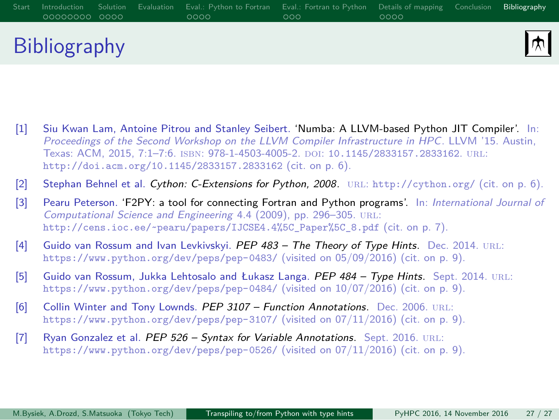# Start Introduction Solution Evaluation Eval.: Python-to-Fortran Eval.: Fortran-to-Python Details of mapping Conclusion Bibliography Bibliography

凤

- [1] Siu Kwan Lam, Antoine Pitrou and Stanley Seibert. 'Numba: A LLVM-based Python JIT Compiler'. In: *Proceedings of the Second Workshop on the LLVM Compiler Infrastructure in HPC*. LLVM '15. Austin, Texas: ACM, 2015, 7:1–7:6. isbn: 978-1-4503-4005-2. doi: 10.1145/2833157.2833162. url: http://doi.acm.org/10.1145/2833157.2833162 (cit. on p. 6).
- [2] Stephan Behnel et al. *Cython: C-Extensions for Python, 2008*. url: http://cython.org/ (cit. on p. 6).
- [3] Pearu Peterson. 'F2PY: a tool for connecting Fortran and Python programs'. In: *International Journal of Computational Science and Engineering* 4.4 (2009), pp. 296–305. url: http://cens.ioc.ee/~pearu/papers/IJCSE4.4%5C\_Paper%5C\_8.pdf (cit. on p. 7).
- [4] Guido van Rossum and Ivan Levkivskyi. PEP 483 The Theory of Type Hints. Dec. 2014. URL: https://www.python.org/dev/peps/pep-0483/ (visited on 05/09/2016) (cit. on p. 9).
- [5] Guido van Rossum, Jukka Lehtosalo and Łukasz Langa. *PEP 484 Type Hints*. Sept. 2014. url: https://www.python.org/dev/peps/pep-0484/ (visited on 10/07/2016) (cit. on p. 9).
- [6] Collin Winter and Tony Lownds. *PEP 3107 Function Annotations*. Dec. 2006. URL: https://www.python.org/dev/peps/pep-3107/ (visited on 07/11/2016) (cit. on p. 9).
- [7] Ryan Gonzalez et al. *PEP 526 Syntax for Variable Annotations*. Sept. 2016. URL: https://www.python.org/dev/peps/pep-0526/ (visited on 07/11/2016) (cit. on p. 9).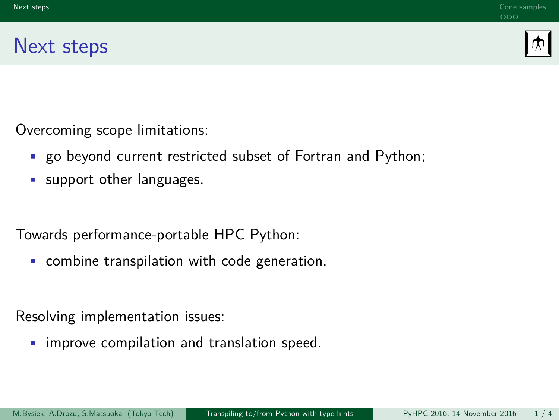### Next steps

困

Overcoming scope limitations:

• go beyond current restricted subset of Fortran and Python;

Next steps **Code samples** Code samples **Code samples** Code samples Code samples Code samples

• support other languages.

Towards performance-portable HPC Python:

• combine transpilation with code generation.

Resolving implementation issues:

• improve compilation and translation speed.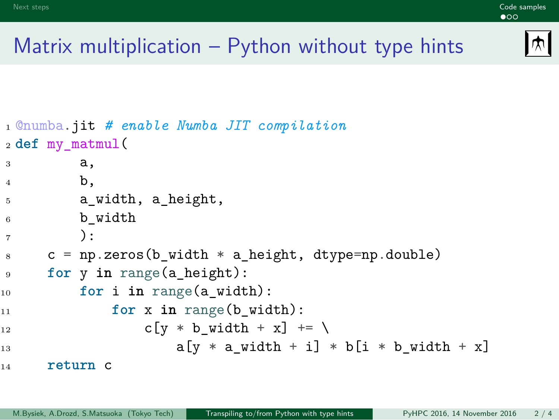## Matrix multiplication – Python without type hints

Next steps **Code samples Code samples** Code in the control of the control of the code samples of the code samples

```
困
```

```
1 @numba.jit # enable Numba JIT compilation
2 def my_matmul(
3 a,
4 b,
5 a_width, a_height,
6 b_width
7 ):
s \t c = np{\text{.zeros}}(b{\text{.width}} * a{\text{.height}}, dype=np{\text{.double}})9 for y in range(a_height):
10 for i in range(a_width):
11 for x in range(b_width):
12 c[y \ast b_width + x] += \
a[y * a_width + i] * b[i * b_width + x]14 return c
```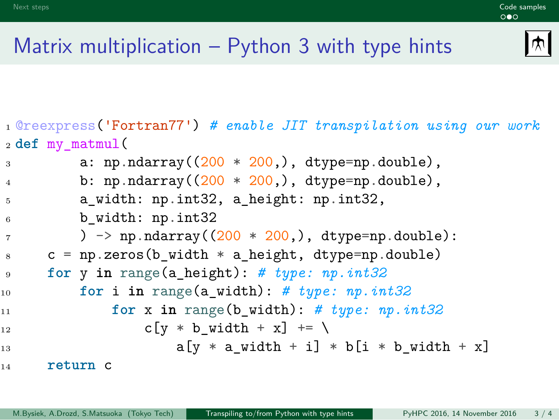### Matrix multiplication – Python 3 with type hints

Next steps **Code samples Code samples** Code in the control of the control of the code samples of the code samples

 $|\mathbf{\psi}|$ 

```
1 @reexpress('Fortran77') # enable JIT transpilation using our work
2 def my_matmul(
3 a: np.ndarray((200 * 200, ), dtype=np.double),
4 b: np.ndarray((200 * 200),, dtype=np.double),
5 a_width: np.int32, a_height: np.int32,
6 b_width: np.int32
7 ) \rightarrow np.ndarray((200 * 200,), dtype=np.double):
s \t c = np{\text{.zeros}}(b{\text{.width}} * a{\text{.height}}, dyp = np{\text{.double}})9 for y in range(a_height): # type: np.int32
10 for i in range(a_width): # type: np.int32
11 for x in range(b_width): # type: np.int32
12 c[y * b_width + x] += \
a[y * a_width + i] * b[i * b_width + x]14 return c
```